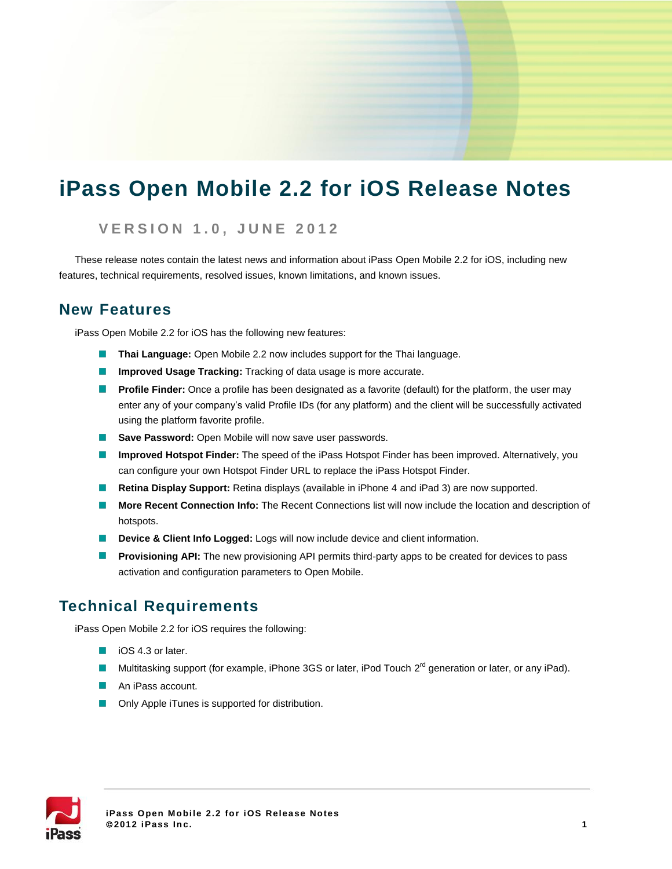# **iPass Open Mobile 2.2 for iOS Release Notes**

### **V E R S I O N 1 . 0 , JUNE 2 0 1 2**

These release notes contain the latest news and information about iPass Open Mobile 2.2 for iOS, including new features, technical requirements, resolved issues, known limitations, and known issues.

## **New Features**

iPass Open Mobile 2.2 for iOS has the following new features:

- **Thai Language:** Open Mobile 2.2 now includes support for the Thai language.
- **Improved Usage Tracking:** Tracking of data usage is more accurate.
- **Profile Finder:** Once a profile has been designated as a favorite (default) for the platform, the user may enter any of your company's valid Profile IDs (for any platform) and the client will be successfully activated using the platform favorite profile.
- **Save Password:** Open Mobile will now save user passwords.
- **Improved Hotspot Finder:** The speed of the iPass Hotspot Finder has been improved. Alternatively, you can configure your own Hotspot Finder URL to replace the iPass Hotspot Finder.
- **Retina Display Support:** Retina displays (available in iPhone 4 and iPad 3) are now supported.
- **More Recent Connection Info:** The Recent Connections list will now include the location and description of  $\sim 100$ hotspots.
- **Device & Client Info Logged:** Logs will now include device and client information.
- **Provisioning API:** The new provisioning API permits third-party apps to be created for devices to pass activation and configuration parameters to Open Mobile.

## **Technical Requirements**

iPass Open Mobile 2.2 for iOS requires the following:

- $\Box$  iOS 4.3 or later.
- Multitasking support (for example, iPhone 3GS or later, iPod Touch 2<sup>rd</sup> generation or later, or any iPad).
- An iPass account.
- **D** Only Apple iTunes is supported for distribution.

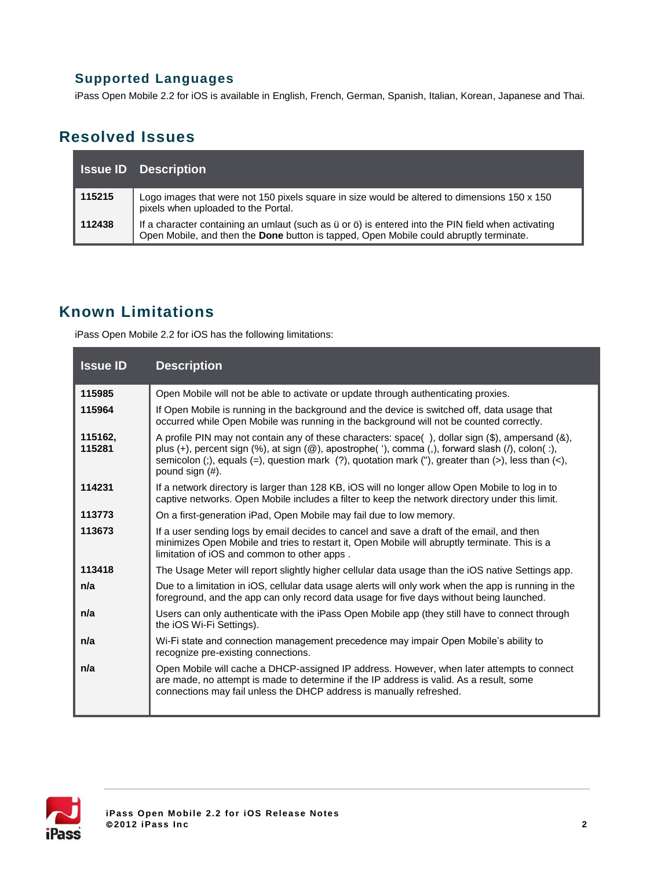## **Supported Languages**

iPass Open Mobile 2.2 for iOS is available in English, French, German, Spanish, Italian, Korean, Japanese and Thai.

# **Resolved Issues**

|        | <b>Issue ID</b> Description                                                                                                                                                                                     |
|--------|-----------------------------------------------------------------------------------------------------------------------------------------------------------------------------------------------------------------|
| 115215 | Logo images that were not 150 pixels square in size would be altered to dimensions 150 x 150<br>pixels when uploaded to the Portal.                                                                             |
| 112438 | If a character containing an umlaut (such as $\ddot{u}$ or $\ddot{o}$ ) is entered into the PIN field when activating<br>Open Mobile, and then the Done button is tapped, Open Mobile could abruptly terminate. |

# **Known Limitations**

iPass Open Mobile 2.2 for iOS has the following limitations:

| <b>Issue ID</b>   | <b>Description</b>                                                                                                                                                                                                                                                                                                                                                                                               |
|-------------------|------------------------------------------------------------------------------------------------------------------------------------------------------------------------------------------------------------------------------------------------------------------------------------------------------------------------------------------------------------------------------------------------------------------|
| 115985            | Open Mobile will not be able to activate or update through authenticating proxies.                                                                                                                                                                                                                                                                                                                               |
| 115964            | If Open Mobile is running in the background and the device is switched off, data usage that<br>occurred while Open Mobile was running in the background will not be counted correctly.                                                                                                                                                                                                                           |
| 115162,<br>115281 | A profile PIN may not contain any of these characters: space(), dollar sign $(\hat{\theta})$ , ampersand $(\hat{\theta})$ ,<br>plus $(+)$ , percent sign $(\%)$ , at sign $(\textcircled{a})$ , apostrophe $(\ ^{\prime})$ , comma $(,)$ , forward slash $(/)$ , colon $($ :),<br>semicolon (;), equals (=), question mark (?), quotation mark ("), greater than (>), less than $\langle$ <),<br>pound sign (#). |
| 114231            | If a network directory is larger than 128 KB, iOS will no longer allow Open Mobile to log in to<br>captive networks. Open Mobile includes a filter to keep the network directory under this limit.                                                                                                                                                                                                               |
| 113773            | On a first-generation iPad, Open Mobile may fail due to low memory.                                                                                                                                                                                                                                                                                                                                              |
| 113673            | If a user sending logs by email decides to cancel and save a draft of the email, and then<br>minimizes Open Mobile and tries to restart it, Open Mobile will abruptly terminate. This is a<br>limitation of iOS and common to other apps.                                                                                                                                                                        |
| 113418            | The Usage Meter will report slightly higher cellular data usage than the iOS native Settings app.                                                                                                                                                                                                                                                                                                                |
| n/a               | Due to a limitation in iOS, cellular data usage alerts will only work when the app is running in the<br>foreground, and the app can only record data usage for five days without being launched.                                                                                                                                                                                                                 |
| n/a               | Users can only authenticate with the iPass Open Mobile app (they still have to connect through<br>the iOS Wi-Fi Settings).                                                                                                                                                                                                                                                                                       |
| n/a               | Wi-Fi state and connection management precedence may impair Open Mobile's ability to<br>recognize pre-existing connections.                                                                                                                                                                                                                                                                                      |
| n/a               | Open Mobile will cache a DHCP-assigned IP address. However, when later attempts to connect<br>are made, no attempt is made to determine if the IP address is valid. As a result, some<br>connections may fail unless the DHCP address is manually refreshed.                                                                                                                                                     |

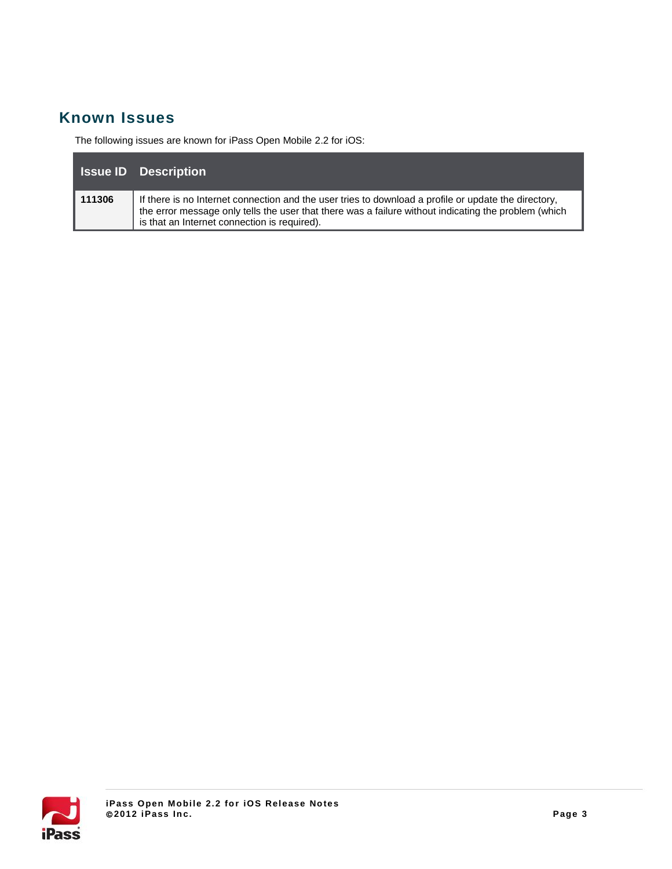# **Known Issues**

The following issues are known for iPass Open Mobile 2.2 for iOS:

|        | <b>Issue ID</b> Description                                                                                                                                                                                                                                  |
|--------|--------------------------------------------------------------------------------------------------------------------------------------------------------------------------------------------------------------------------------------------------------------|
| 111306 | If there is no Internet connection and the user tries to download a profile or update the directory.<br>the error message only tells the user that there was a failure without indicating the problem (which<br>is that an Internet connection is required). |